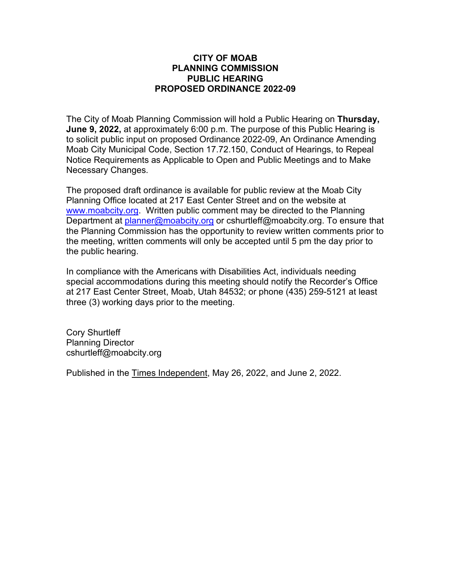## **CITY OF MOAB PLANNING COMMISSION PUBLIC HEARING PROPOSED ORDINANCE 2022-09**

The City of Moab Planning Commission will hold a Public Hearing on **Thursday, June 9, 2022,** at approximately 6:00 p.m. The purpose of this Public Hearing is to solicit public input on proposed Ordinance 2022-09, An Ordinance Amending Moab City Municipal Code, Section 17.72.150, Conduct of Hearings, to Repeal Notice Requirements as Applicable to Open and Public Meetings and to Make Necessary Changes.

The proposed draft ordinance is available for public review at the Moab City Planning Office located at 217 East Center Street and on the website at [www.moabcity.org.](http://www.moabcity.org/) Written public comment may be directed to the Planning Department at [planner@moabcity.org](mailto:planner@moabcity.org) or cshurtleff@moabcity.org. To ensure that the Planning Commission has the opportunity to review written comments prior to the meeting, written comments will only be accepted until 5 pm the day prior to the public hearing.

In compliance with the Americans with Disabilities Act, individuals needing special accommodations during this meeting should notify the Recorder's Office at 217 East Center Street, Moab, Utah 84532; or phone (435) 259-5121 at least three (3) working days prior to the meeting.

Cory Shurtleff Planning Director cshurtleff@moabcity.org

Published in the Times Independent, May 26, 2022, and June 2, 2022.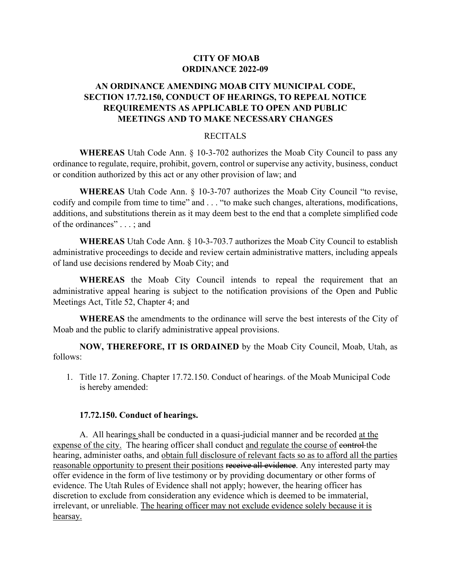## **CITY OF MOAB ORDINANCE 2022-09**

# **AN ORDINANCE AMENDING MOAB CITY MUNICIPAL CODE, SECTION 17.72.150, CONDUCT OF HEARINGS, TO REPEAL NOTICE REQUIREMENTS AS APPLICABLE TO OPEN AND PUBLIC MEETINGS AND TO MAKE NECESSARY CHANGES**

### RECITALS

**WHEREAS** Utah Code Ann. § 10-3-702 authorizes the Moab City Council to pass any ordinance to regulate, require, prohibit, govern, control or supervise any activity, business, conduct or condition authorized by this act or any other provision of law; and

**WHEREAS** Utah Code Ann. § 10-3-707 authorizes the Moab City Council "to revise, codify and compile from time to time" and . . . "to make such changes, alterations, modifications, additions, and substitutions therein as it may deem best to the end that a complete simplified code of the ordinances" . . . ; and

**WHEREAS** Utah Code Ann. § 10-3-703.7 authorizes the Moab City Council to establish administrative proceedings to decide and review certain administrative matters, including appeals of land use decisions rendered by Moab City; and

**WHEREAS** the Moab City Council intends to repeal the requirement that an administrative appeal hearing is subject to the notification provisions of the Open and Public Meetings Act, Title 52, Chapter 4; and

**WHEREAS** the amendments to the ordinance will serve the best interests of the City of Moab and the public to clarify administrative appeal provisions.

**NOW, THEREFORE, IT IS ORDAINED** by the Moab City Council, Moab, Utah, as follows:

1. Title 17. Zoning. Chapter 17.72.150. Conduct of hearings. of the Moab Municipal Code is hereby amended:

#### **17.72.150. Conduct of hearings.**

A. All hearings shall be conducted in a quasi-judicial manner and be recorded at the expense of the city. The hearing officer shall conduct and regulate the course of control-the hearing, administer oaths, and obtain full disclosure of relevant facts so as to afford all the parties reasonable opportunity to present their positions receive all evidence. Any interested party may offer evidence in the form of live testimony or by providing documentary or other forms of evidence. The Utah Rules of Evidence shall not apply; however, the hearing officer has discretion to exclude from consideration any evidence which is deemed to be immaterial, irrelevant, or unreliable. The hearing officer may not exclude evidence solely because it is hearsay.